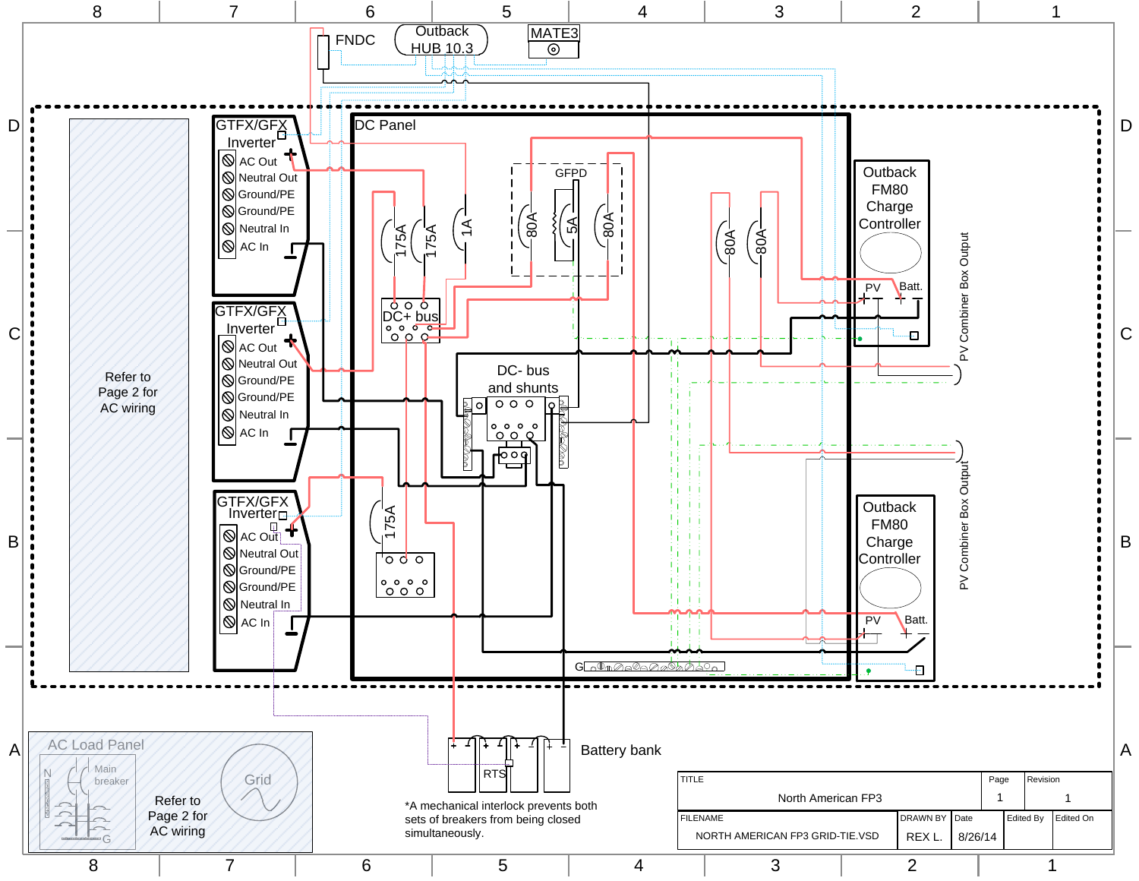